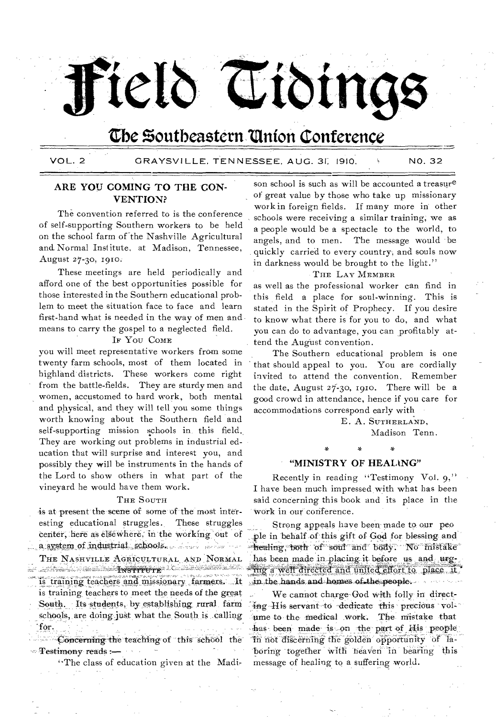# Field Tidings

# Cbe Southeastern 'Union Conference

VOL. 2 GRAYSVILLE, TENNESSEE, AUG. 31, 1910. \ NO. 32

# **ARE YOU COMING TO THE CON-VENTION?**

The convention referred to is the conference of self-supporting Southern workers to be held on the school farm of the Nashville Agricultural and, Normal Institute, at Madison, Tennessee, August 27-30, 1910.

These meetings are held periodically and afford one of the best opportunities possible for those interested in the Southern educational problem to meet the situation face to face and learn first-hand what is needed in the way of men and means to carry the gospel to a neglected field.

### IF You COME

you will meet representative workers from some twenty farm schools, most of them located in highland districts. These workers come right from the battle-fields. They are sturdy men and women, accustomed to hard work, both mental and physical, and they will tell you some things worth knowing about the Southern field and self-supporting mission schools in, this field.. They are working out problems in industrial education that will surprise and interest you, and possibly they will be instruments in the hands of the Lord to show others in what part of the vineyard he would have them work.

### THE SOUTH

is at present the scene of some of the most interesting educational struggles. These struggles center, here as elsewhere, in the working out of a system of industrial schools. A series of the con-

THE NASHVILLE AGRICULTURAL AND NORMAL ۺۿػۼ۫ڗۿڶۺ؞ڶ؆**ۮ؊ڹۣڹۣۭؠۊ<del>ؾ؆؆ٷ</del>ۼ؞ٷ**ڵۺڲڶػؾڶڟۿٷڔۮڸڮؙڵؖؠڟؘؾڴڒڗڝ is training teachers and missionary farmers. It is training, teachers to meet the needs of the great South. Its students, by establishing rural farm schools, are doing just what the South is calling for.

 $\sim$  Concerning the teaching of this school the Testimony' reads

"The class of education given at the Madi-

son school is such as will be accounted a treasure of great value by those who take up missionary work in foreign fields. If many more in other schools were receiving a similar training, we as a people would be a spectacle to the world, to angels, and to men. The message would be quickly carried to every country, and souls now in darkness would be brought to the light."

### THE LAY MEMBER

as well as the professional worker can find in this field a place for soul-winning. This is stated in the Spirit of Prophecy. If you desire to know what there is for you to do, and what you can do to advantage, you can profitably attend the August convention.

The Southern educational problem is one that should appeal to you. You are cordially invited to attend the convention. Remember the date, August 27-30, 191o. There will be a good crowd in attendance, hence if you care for accommodations correspond early with

> E. A. SUTHERLAND, Madison Tenn.

> > s.

## **"MINISTRY OF HEALING"**

Recently in reading "Testimony Vol. 9," I have been much impressed,with what has been said concerning this book and its place in the 'Work in our- conference.

Strong appeals have been made to our peo ple in behalf of this gift of God for blessing and healing, both of soul and body. No mistake has been made in placing it before us and urging a well directed and united effort to place it in the hands and homes of the people.

We cannot charge-God with folly in directing His servant to dedicate this precious volthe to-the medical work. The mistake that has been made is on the part of His people in not discerning the golden opportunity of laboring together with heaven in bearing this message of healing to a suffering world.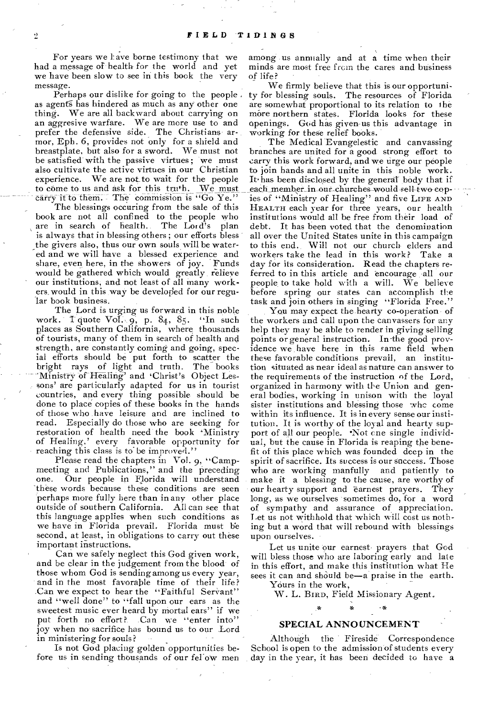For years we have borne testimony that we had a message of health for the world and yet we have been slow to see in this book the very message.

Perhaps our dislike for going to the people as agents has hindered as much as any other one thing. We are all backward about carrying on an aggresive warfare. We are more use to and prefer the defensive side. The Christians armor, Eph. 6, provides not only for a shield and breastplate, but also for a sword. We must not be satisfied' with the passive virtues ; we must also cultivate the active virtues in our Christian experience. We are not to wait for the people to come to us and ask for this truth. We must carry it to them. - The commission is "Go Ye."

The blessings occuring from the sale of this book are not all confined to the people who are in search of health. The Lord's plan are in search of health. is always that in blessing others ; our efforts bless the givers also, thus our own souls will be watered and we will have a blessed experience and share, even here, in the showers of joy. Funds would be gathered which would greatly relieve our institutions, and not least of all many workers. would in this way be developed for our regular book business.

The Lord is urging us forward in this noble work. Tquote Vol., 9, p. 84, 85.  $\cdot$ In such places as Southern California, where thousands of tourists, many of them in search of health and strength, are constantly coming and going, special efforts should be put forth to scatter the bright rays of light and truth. The books 'Ministry of Healing' and 'Christ's Object Lessons' are particularly adapted for us in tourist countries, and every thing possible should be done to place copies of these books in the hands of those who have leisure and are inclined to read. Especially do those who are seeking for restoration of health need the book 'Ministry of Healing,' every favorable opportunity for reaching this class is to' be improved."

Please read the chapters in Vol. 9, "Campmeeting and Publications," and the preceding<br>one. Our people in Florida will understand Our people in Florida will understand these words because these conditions are seen perhaps more fully here than in any other place outside of southern California. All can see that this language applies when such conditions as we have in Florida prevail. Florida must be second, at least, in obligations to carry out these important instructions.

Can we safely neglect this God given work, and be clear in the judgement from the blood of those whom God is sendingamong us every year, and in the most favorable time of their life? Can we expect to hear the "Faithful Servant" and "well done" to "fall upon our ears as the sweetest music ever heard by mortal ears" if we<br>put forth no effort? Can we "enter into" .Can we "enter into" joy when no- sacrifice has bound us to our Lord in ministering for souls?

Is not God placing golden opportunities before us in sending thousands of our felow men among us annually and at a time when their minds are most free from the cares and business<br>of life?

We firmly believe that this is our opportunity for blessing souls. The resources of Florida are somewhat proportional to its relation to the more northern states. Florida looks for these openings. God has given-us this advantage in working for these relief books.

The Medical Evangelestic and canvassing branches are united for a good strong effort to carry this work forward, and we urge our people to join hands and all unite in this noble work. It'has been disclosed by the general body that if each member in our churches would sell-two-copies of "Ministry of Healing" and five LIFE AND HEALTH each year for three years, our health institutions would all be free from their load of debt. It has been voted that the denomination all over the United States unite in this campaign to this end. Will not our church elders and workers take the lead in this work? Take a day for its consideration. Read the chapters referred to in this article and encourage all our people, to take hold with a will. We believe before spring our states can accomplish the task and join others in singing "Florida Free."

You may expect the hearty co-operation of the workers and call upon the canvassers for any help they may be able to render in giving selling points or general instruction. In-the good providence we have here in this same field when these favorable conditions prevail, an institution situated as near ideal as nature can answer to the requirements of the instruction of the Lord, organized in harmony with the Union and general bodies, working in unison with the loyal sister institutions and blessing those who come within its influence. It is in every sense our institution. It is worthy of the loyal and hearty support of all our people. •Not one *single* individual, but the cause in Florida is reaping the benefit of this place which was founded deep in the spirit of sacrifice. Its success is our success. Those who are working manfully and patiently to make it a blessing to the cause, are worthy of our hearty support and earnest prayers. They long, as we ourselves 'sometimes do, for a word of sympathy and assurance of appreciation. Let us not withhold that which will cost us nothing but a word that will rebound with blessings upon ourselves.

Let us unite our earnest- prayers that God will bless those who are laboring early and late in this effort, and make this institution what He sees it can and should be—a praise in the earth.

Yours in the work,

W. L. BIRD, Field Missionary Agent.

### SPECIAL ANNOUNCEMENT

Although the Fireside Correspondence School is open to the admission of students every day in the year, it has been decided to have a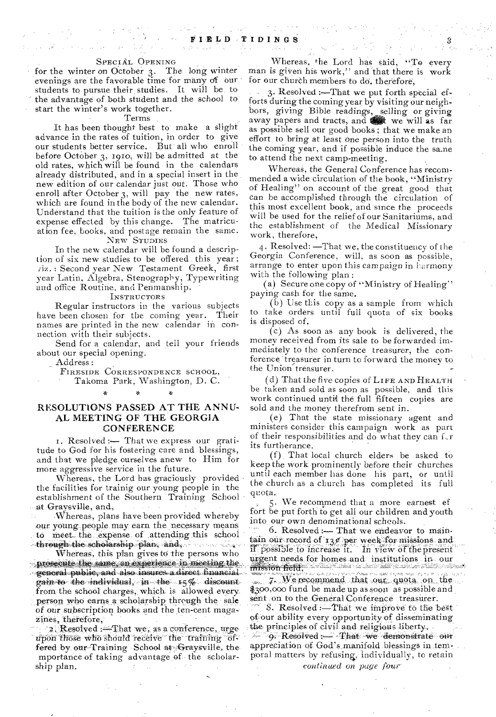### SPECIAL OPENING

for the winter on October 3. The long winter evenings are the favorable time for many of our students to pursue their studies. It will be to the advantage of both student and the school to' start the winter's work together.

### Terms ,

It has been thought best to make a slight advance in the rates of tuition, in order to give our students better service. But all who enroll before October 3, 1910, will be admitted at the old rates, which will be found in the calendars already distributed, and in a special insert in the new edition of our calendar just out. Those who enroll after October 3, will pay the new rates, which are found in the body of the new calendar. Understand that the tuition is the only feature of expense effected by this change. The matricuation fee, books, and postage remain the same. NEW STUDIES

In the new calendar will be found a description of six new studies to be offered this year; : Second year New Testament Greek, first year Latin, Algebra, Stenography, Typewriting and office Routine, and Penmanship.

### INSTRUCTORS

Regular instructors in the various subjects<br>been chosen for the coming year. Their have been chosen for the coming year. names are printed in the new calendar in connection with their subjects.

Send for a calendar, and tell your friends about our special opening.

Address ;

FIRESIDE CORRESPONDENCE SCHOOL, Takoma Park, Washington, D. C.

# RESOLUTIONS PASSED AT THE ANNU-AL MEETING OF THE GEORGIA **CONFERENCE**

T. Resolved :— That we express our gratitude to God for his fostering care and blessings, and that we pledge ourselves anew to Him for more aggressive service in the future.

Whereas, the Lord has graciously provided the facilities for trainig our young people in the establishment of the Southern Training School at Graysville, and,

-Whereas, plans have been provided whereby our young people may earn the necessary means. to meet the expense of attending this school through the scholarship plan, and, ทรง รวม หนึ่ง

Whereas, this plan gives to the persons who prosecute the same an experience in meeting the ...general public, and also insures a direct financial,. gain to the individual, in the  $15\%$  discount. from the school charges, which is allowed every. person who earns a scholarship through the sale *of our* subscription books and the ten-cent maga. zines, therefore,

2. Resolved: $-Fhat we$ , as a conference, urge upon those who should receive the training offered by our-Training School at Graysville, the mportance of taking advantage of the scholarship plan.

Whereas, the Lord has said, "To every man is given his work," and that there is work for our church members to do, therefore,

3. Resolved :- That we put forth special efforts during the coming year by visiting our neigh. bors, giving Bible readings, selling or giving away papers and tracts, and that we will as far as possible sell our good books; that we make an effort to bring at least one person into the truth the coming year, and if possible induce the sane to attend the next camp-meeting.

Whereas, the General Conference has recommended a wide circulation of the book, "Ministry of Healing" on account of the great good that can he accomplished through the circulation of this most excellent book, and since the proceeds will be used for the relief of our Sanitariums, and the establishment of the Medical Missionary work, therefore,

.4. Resolved: —That we, the constituency of the Georgia Conference, will, as soon as possible, arrange to enter upon this campaign in harmony with the following plan:

(a) Secure one copy of "Ministry of Healing" paying cash for the same.

(b) Use this copy as a sample from which to take orders until full quota of six books is disposed of.

(c) As soon as any book is delivered, the money received from its sale to be forwarded immediately to the conference treasurer, the conference treasurer in turn to forward the money to the Union' treasurer.

(d) That the five copies of LIFE AND HEALTH be taken and sold as soon as possible; and this work continued unti4 the full fifteen copies are sold and the money therefrom sent in.

(e) That the state missionary agent and ministers consider this campaign work as part of their responsibilities and do what they can  $i$ r. its furtherance.

(f), That local church elders be asked to keep the Work prominently before their churches until each member has done his part, or until the church as a church has completed its full quota.

5. We recommend that a more earnest of fort be put forth to get all our children and youth into our own denominational schools.

 $6.$  Resolved :— That we endeavor to main- $\tan \theta$  our record of '13 $\theta$ 'per week. for missions and if possible to increase if. In view of the present urgent needs for homes and institutions in our **MS71% -** 

1**40 - 9 • 140 - 9 • 140 - 9 • 140 - 9 • 140 - 9 • 140 - 9 • 140 - 9 • 140 - 9 • 140 - 140 - 140 - 140 - 140 - 140 the field**<br>**7.** We recommend that<br>0.000 fund be made un as \$3.00,000 fund be made up as soon as possible and sent on to the General Conference treasurer.

'8. Resolved: That we improve to the best of our ability every opportunity of disseminating the principles of civil and religious liberty.  $\sigma$ . Resolved  $\sim$  That we demonstrate our appreciation of God's manifold blessings in temporal matters by refusing, individually, to retain *continued on page four*